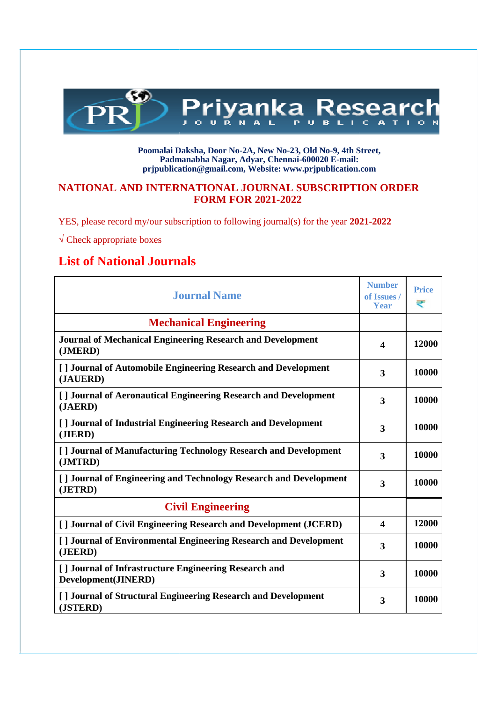

#### **Poomalai Daksha, Door No-2A, New No-23, Old No-9, 4th Street, Padmanabha Nagar, Adyar, Chennai-600020 E-mail: [prjpublication@gmail.com, W](mailto:prjpublication@gmail.com)ebsite[: www.prjpublication.com](http://www.prjpublication.com/)**

### **NATIONAL AND INTERNATIONAL JOURNAL SUBSCRIPTION ORDER FORM FOR 2021-2022**

YES, please record my/our subscription to following journal(s) for the year **2021-2022**

 $\sqrt{\text{Check } \text{appropriate boxes}}$ 

### **List of National Journals**

| <b>Journal Name</b>                                                          | <b>Number</b><br>of Issues /<br><b>Year</b> | <b>Price</b><br>₹ |
|------------------------------------------------------------------------------|---------------------------------------------|-------------------|
| <b>Mechanical Engineering</b>                                                |                                             |                   |
| <b>Journal of Mechanical Engineering Research and Development</b><br>(JMERD) |                                             | 12000             |
| [] Journal of Automobile Engineering Research and Development<br>(JAUERD)    |                                             | 10000             |
| [] Journal of Aeronautical Engineering Research and Development<br>(JAERD)   | 3                                           | 10000             |
| [] Journal of Industrial Engineering Research and Development<br>(JIERD)     | 3                                           | 10000             |
| [] Journal of Manufacturing Technology Research and Development<br>(JMTRD)   |                                             | 10000             |
| [] Journal of Engineering and Technology Research and Development<br>(JETRD) |                                             | 10000             |
| <b>Civil Engineering</b>                                                     |                                             |                   |
| [] Journal of Civil Engineering Research and Development (JCERD)             |                                             | 12000             |
| [] Journal of Environmental Engineering Research and Development<br>(JEERD)  |                                             | 10000             |
| [] Journal of Infrastructure Engineering Research and<br>Development(JINERD) |                                             | 10000             |
| [] Journal of Structural Engineering Research and Development<br>(JSTERD)    | 3                                           | 10000             |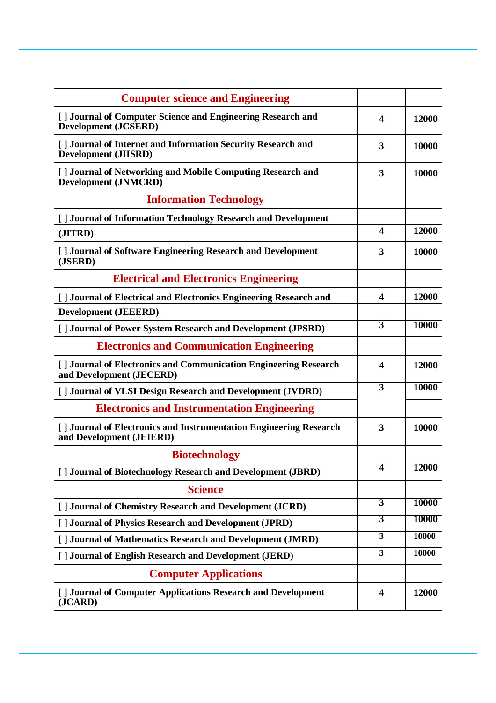| <b>Computer science and Engineering</b>                                                        |                         |              |
|------------------------------------------------------------------------------------------------|-------------------------|--------------|
| [] Journal of Computer Science and Engineering Research and                                    | $\overline{\mathbf{4}}$ | 12000        |
| <b>Development (JCSERD)</b>                                                                    |                         |              |
| [ ] Journal of Internet and Information Security Research and<br><b>Development (JIISRD)</b>   | 3                       | 10000        |
| [] Journal of Networking and Mobile Computing Research and<br><b>Development (JNMCRD)</b>      | 3                       | 10000        |
| <b>Information Technology</b>                                                                  |                         |              |
| [ ] Journal of Information Technology Research and Development                                 |                         |              |
| (JITRD)                                                                                        | $\boldsymbol{4}$        | 12000        |
| [] Journal of Software Engineering Research and Development<br>(JSERD)                         | 3                       | 10000        |
| <b>Electrical and Electronics Engineering</b>                                                  |                         |              |
| [] Journal of Electrical and Electronics Engineering Research and                              | $\overline{\mathbf{4}}$ | 12000        |
| <b>Development (JEEERD)</b>                                                                    |                         |              |
| [ ] Journal of Power System Research and Development (JPSRD)                                   | $\overline{3}$          | <b>10000</b> |
| <b>Electronics and Communication Engineering</b>                                               |                         |              |
| [] Journal of Electronics and Communication Engineering Research<br>and Development (JECERD)   | 4                       | 12000        |
| [] Journal of VLSI Design Research and Development (JVDRD)                                     | $\overline{3}$          | <b>10000</b> |
| <b>Electronics and Instrumentation Engineering</b>                                             |                         |              |
| [] Journal of Electronics and Instrumentation Engineering Research<br>and Development (JEIERD) | 3                       | 10000        |
| <b>Biotechnology</b>                                                                           |                         |              |
| [] Journal of Biotechnology Research and Development (JBRD)                                    | 4                       | 12000        |
| <b>Science</b>                                                                                 |                         |              |
| [ ] Journal of Chemistry Research and Development (JCRD)                                       | 3                       | <b>10000</b> |
| [] Journal of Physics Research and Development (JPRD)                                          | $\overline{\mathbf{3}}$ | <b>10000</b> |
| [] Journal of Mathematics Research and Development (JMRD)                                      | $\overline{\mathbf{3}}$ | <b>10000</b> |
| [] Journal of English Research and Development (JERD)                                          | $\overline{\mathbf{3}}$ | 10000        |
| <b>Computer Applications</b>                                                                   |                         |              |
| [ ] Journal of Computer Applications Research and Development<br>(JCARD)                       | $\overline{\mathbf{4}}$ | 12000        |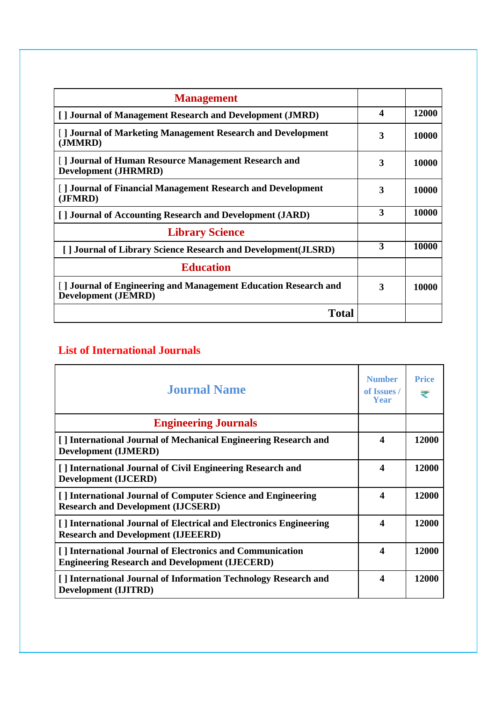| <b>Management</b>                                                                             |                  |       |
|-----------------------------------------------------------------------------------------------|------------------|-------|
| [] Journal of Management Research and Development (JMRD)                                      | $\boldsymbol{4}$ | 12000 |
| [] Journal of Marketing Management Research and Development<br>(JMMRD)                        | 3                | 10000 |
| [] Journal of Human Resource Management Research and<br><b>Development (JHRMRD)</b>           | 3                | 10000 |
| [] Journal of Financial Management Research and Development<br>(JFMRD)                        | 3                | 10000 |
| [] Journal of Accounting Research and Development (JARD)                                      | 3                | 10000 |
| <b>Library Science</b>                                                                        |                  |       |
| [] Journal of Library Science Research and Development (JLSRD)                                | 3                | 10000 |
| <b>Education</b>                                                                              |                  |       |
| [] Journal of Engineering and Management Education Research and<br><b>Development (JEMRD)</b> | 3                | 10000 |
| <b>Total</b>                                                                                  |                  |       |

# **List of International Journals**

| <b>Journal Name</b>                                                                                                | <b>Number</b><br>of Issues /<br>Year | <b>Price</b><br>₹ |
|--------------------------------------------------------------------------------------------------------------------|--------------------------------------|-------------------|
| <b>Engineering Journals</b>                                                                                        |                                      |                   |
| [] International Journal of Mechanical Engineering Research and<br><b>Development (IJMERD)</b>                     | $\boldsymbol{\Lambda}$               | 12000             |
| [] International Journal of Civil Engineering Research and<br><b>Development (IJCERD)</b>                          | $\boldsymbol{4}$                     | 12000             |
| [] International Journal of Computer Science and Engineering<br><b>Research and Development (IJCSERD)</b>          | $\boldsymbol{\Lambda}$               | 12000             |
| [] International Journal of Electrical and Electronics Engineering<br><b>Research and Development (IJEEERD)</b>    | $\boldsymbol{\Lambda}$               | 12000             |
| [] International Journal of Electronics and Communication<br><b>Engineering Research and Development (IJECERD)</b> | $\boldsymbol{4}$                     | 12000             |
| [] International Journal of Information Technology Research and<br><b>Development (IJITRD)</b>                     | $\boldsymbol{4}$                     | 12000             |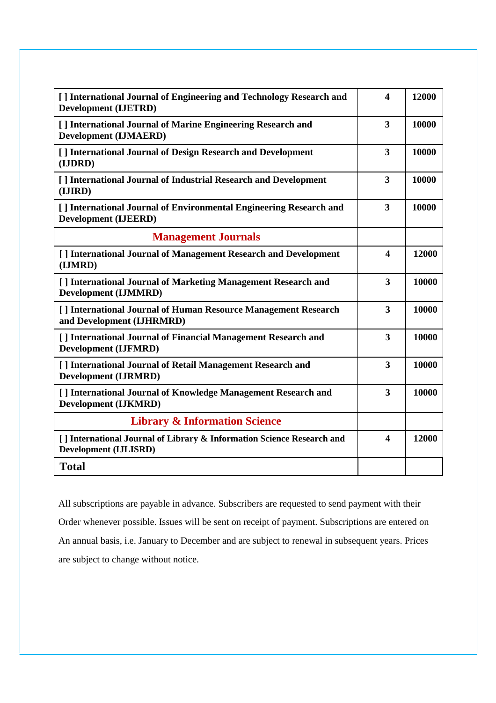| [ ] International Journal of Engineering and Technology Research and<br><b>Development (IJETRD)</b>    |                         | 12000 |
|--------------------------------------------------------------------------------------------------------|-------------------------|-------|
| [] International Journal of Marine Engineering Research and<br><b>Development (IJMAERD)</b>            |                         | 10000 |
| [] International Journal of Design Research and Development<br>(IJDRD)                                 |                         | 10000 |
| [] International Journal of Industrial Research and Development<br>(IJIRD)                             |                         | 10000 |
| [] International Journal of Environmental Engineering Research and<br><b>Development (IJEERD)</b>      | $\overline{\mathbf{3}}$ | 10000 |
| <b>Management Journals</b>                                                                             |                         |       |
| [] International Journal of Management Research and Development<br>(IJMRD)                             | $\overline{\mathbf{4}}$ | 12000 |
| [ ] International Journal of Marketing Management Research and<br><b>Development (IJMMRD)</b>          | 3                       | 10000 |
| [] International Journal of Human Resource Management Research<br>and Development (IJHRMRD)            | 3                       | 10000 |
| [] International Journal of Financial Management Research and<br><b>Development (IJFMRD)</b>           | 3                       | 10000 |
| [] International Journal of Retail Management Research and<br><b>Development (IJRMRD)</b>              | 3                       | 10000 |
| [] International Journal of Knowledge Management Research and<br><b>Development (IJKMRD)</b>           | 3                       | 10000 |
| <b>Library &amp; Information Science</b>                                                               |                         |       |
| [] International Journal of Library & Information Science Research and<br><b>Development (IJLISRD)</b> | $\overline{\mathbf{4}}$ | 12000 |
| <b>Total</b>                                                                                           |                         |       |

All subscriptions are payable in advance. Subscribers are requested to send payment with their Order whenever possible. Issues will be sent on receipt of payment. Subscriptions are entered on An annual basis, i.e. January to December and are subject to renewal in subsequent years. Prices are subject to change without notice.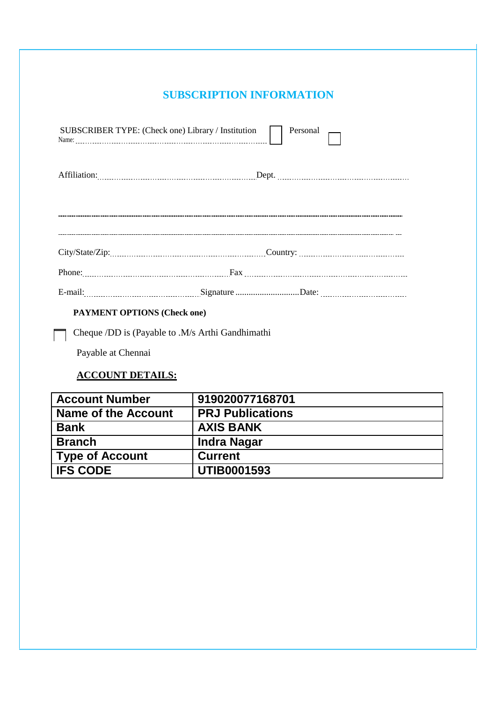### **SUBSCRIPTION INFORMATION**

| SUBSCRIBER TYPE: (Check one) Library / Institution $\Box$ Personal |  |
|--------------------------------------------------------------------|--|
|                                                                    |  |
|                                                                    |  |
|                                                                    |  |
|                                                                    |  |
|                                                                    |  |
| <b>DAVAIENT ODTIONS</b> (Cheek one)                                |  |

### **PAYMENT OPTIONS (Check one)**

Cheque /DD is (Payable to .M/s Arthi Gandhimathi

Payable at Chennai

## **ACCOUNT DETAILS:**

| <b>Account Number</b>      | 919020077168701         |
|----------------------------|-------------------------|
| <b>Name of the Account</b> | <b>PRJ Publications</b> |
| <b>Bank</b>                | <b>AXIS BANK</b>        |
| <b>Branch</b>              | <b>Indra Nagar</b>      |
| <b>Type of Account</b>     | <b>Current</b>          |
| <b>IFS CODE</b>            | <b>UTIB0001593</b>      |